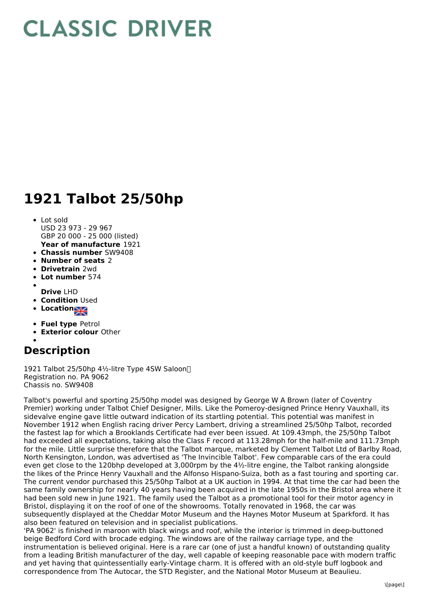## **CLASSIC DRIVER**

## **1921 Talbot 25/50hp**

- **Year of manufacture** 1921 • Lot sold USD 23 973 - 29 967 GBP 20 000 - 25 000 (listed)
- **Chassis number** SW9408
- **Number of seats** 2
- **Drivetrain** 2wd
- **Lot number** 574  $\bullet$
- 
- **Drive** LHD
- **Condition** Used  $\bullet$
- **Location**  $\bullet$
- **Fuel type** Petrol
- **Exterior colour** Other

## **Description**

1921 Talbot 25/50hp 4½-litre Type 4SW Saloon Registration no. PA 9062 Chassis no. SW9408

Talbot's powerful and sporting 25/50hp model was designed by George W A Brown (later of Coventry Premier) working under Talbot Chief Designer, Mills. Like the Pomeroy-designed Prince Henry Vauxhall, its sidevalve engine gave little outward indication of its startling potential. This potential was manifest in November 1912 when English racing driver Percy Lambert, driving a streamlined 25/50hp Talbot, recorded the fastest lap for which a Brooklands Certificate had ever been issued. At 109.43mph, the 25/50hp Talbot had exceeded all expectations, taking also the Class F record at 113.28mph for the half-mile and 111.73mph for the mile. Little surprise therefore that the Talbot marque, marketed by Clement Talbot Ltd of Barlby Road, North Kensington, London, was advertised as 'The Invincible Talbot'. Few comparable cars of the era could even get close to the 120bhp developed at 3,000rpm by the 4½-litre engine, the Talbot ranking alongside the likes of the Prince Henry Vauxhall and the Alfonso Hispano-Suiza, both as a fast touring and sporting car. The current vendor purchased this 25/50hp Talbot at a UK auction in 1994. At that time the car had been the same family ownership for nearly 40 years having been acquired in the late 1950s in the Bristol area where it had been sold new in June 1921. The family used the Talbot as a promotional tool for their motor agency in Bristol, displaying it on the roof of one of the showrooms. Totally renovated in 1968, the car was subsequently displayed at the Cheddar Motor Museum and the Haynes Motor Museum at Sparkford. It has also been featured on television and in specialist publications.

'PA 9062' is finished in maroon with black wings and roof, while the interior is trimmed in deep-buttoned beige Bedford Cord with brocade edging. The windows are of the railway carriage type, and the instrumentation is believed original. Here is a rare car (one of just a handful known) of outstanding quality from a leading British manufacturer of the day, well capable of keeping reasonable pace with modern traffic and yet having that quintessentially early-Vintage charm. It is offered with an old-style buff logbook and correspondence from The Autocar, the STD Register, and the National Motor Museum at Beaulieu.